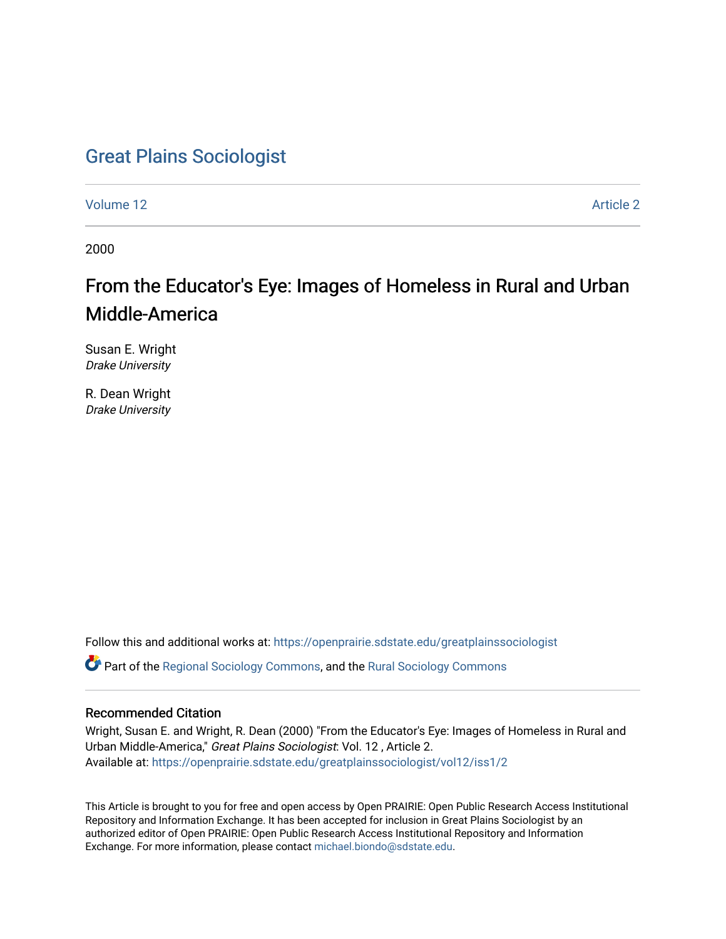# [Great Plains Sociologist](https://openprairie.sdstate.edu/greatplainssociologist)

[Volume 12](https://openprairie.sdstate.edu/greatplainssociologist/vol12) Article 2

2000

# From the Educator's Eye: Images of Homeless in Rural and Urban Middle-America

Susan E. Wright Drake University

R. Dean Wright Drake University

Follow this and additional works at: [https://openprairie.sdstate.edu/greatplainssociologist](https://openprairie.sdstate.edu/greatplainssociologist?utm_source=openprairie.sdstate.edu%2Fgreatplainssociologist%2Fvol12%2Fiss1%2F2&utm_medium=PDF&utm_campaign=PDFCoverPages) 

Part of the [Regional Sociology Commons](http://network.bepress.com/hgg/discipline/427?utm_source=openprairie.sdstate.edu%2Fgreatplainssociologist%2Fvol12%2Fiss1%2F2&utm_medium=PDF&utm_campaign=PDFCoverPages), and the [Rural Sociology Commons](http://network.bepress.com/hgg/discipline/428?utm_source=openprairie.sdstate.edu%2Fgreatplainssociologist%2Fvol12%2Fiss1%2F2&utm_medium=PDF&utm_campaign=PDFCoverPages) 

#### Recommended Citation

Wright, Susan E. and Wright, R. Dean (2000) "From the Educator's Eye: Images of Homeless in Rural and Urban Middle-America," Great Plains Sociologist: Vol. 12 , Article 2. Available at: [https://openprairie.sdstate.edu/greatplainssociologist/vol12/iss1/2](https://openprairie.sdstate.edu/greatplainssociologist/vol12/iss1/2?utm_source=openprairie.sdstate.edu%2Fgreatplainssociologist%2Fvol12%2Fiss1%2F2&utm_medium=PDF&utm_campaign=PDFCoverPages)

This Article is brought to you for free and open access by Open PRAIRIE: Open Public Research Access Institutional Repository and Information Exchange. It has been accepted for inclusion in Great Plains Sociologist by an authorized editor of Open PRAIRIE: Open Public Research Access Institutional Repository and Information Exchange. For more information, please contact [michael.biondo@sdstate.edu.](mailto:michael.biondo@sdstate.edu)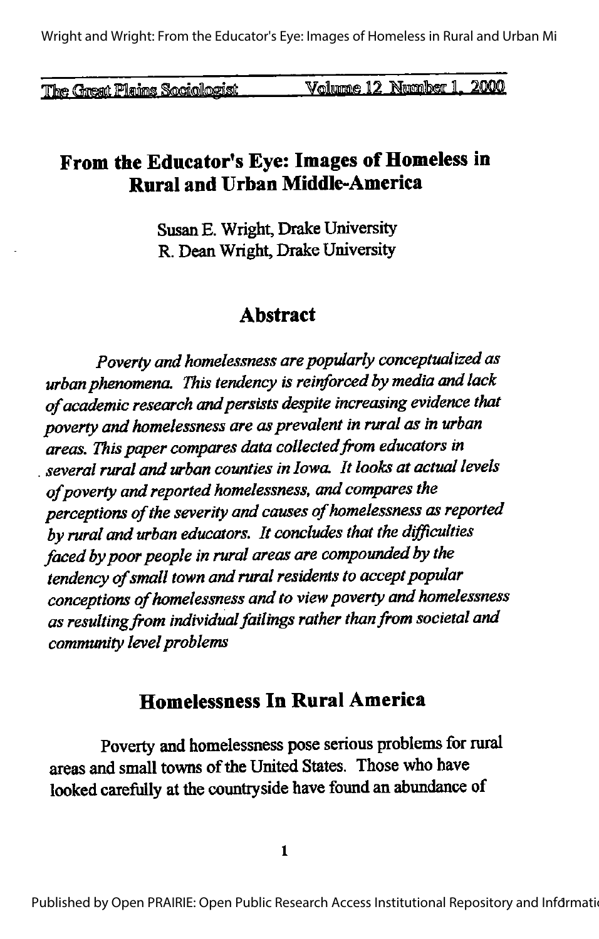Wright and Wright: From the Educator's Eve: Images of Homeless in Rural and Urban Mi

The Great Plains Sociologist

Volume 12 Number 1, 2000

# From the Educator's Eye: Images of Homeless in **Rural and Urban Middle-America**

Susan E. Wright, Drake University R. Dean Wright, Drake University

# **A** hstract

Poverty and homelessness are popularly conceptualized as urban phenomena. This tendency is reinforced by media and lack of academic research and persists despite increasing evidence that poverty and homelessness are as prevalent in rural as in urban areas. This paper compares data collected from educators in several rural and urban counties in Iowa. It looks at actual levels of poverty and reported homelessness, and compares the perceptions of the severity and causes of homelessness as reported by rural and urban educators. It concludes that the difficulties faced by poor people in rural areas are compounded by the tendency of small town and rural residents to accept popular conceptions of homelessness and to view poverty and homelessness as resulting from individual failings rather than from societal and community level problems

# **Homelessness In Rural America**

Poverty and homelessness pose serious problems for rural areas and small towns of the United States. Those who have looked carefully at the countryside have found an abundance of

 $\mathbf{1}$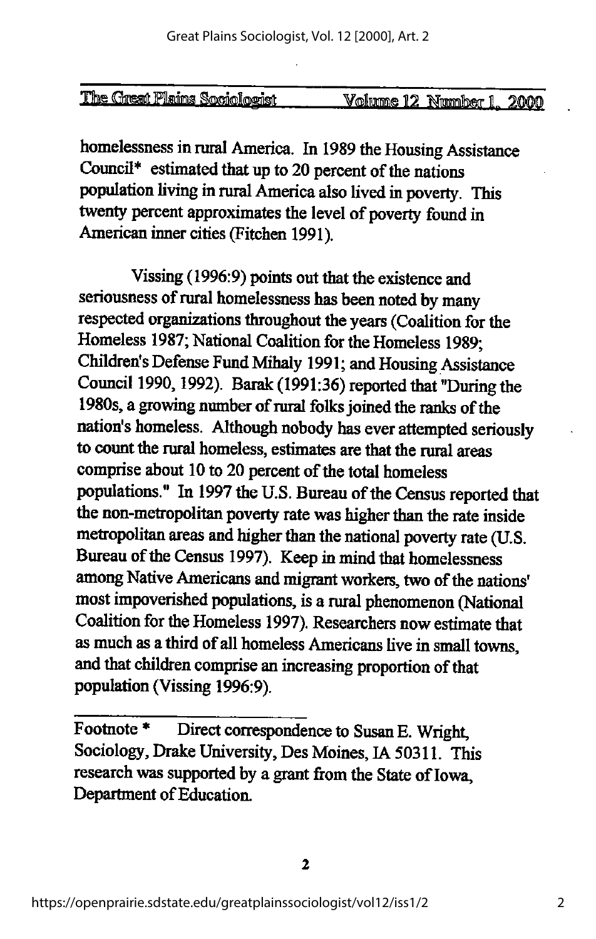| The Great Plains Sociologist | Number<br>12<br>olumne<br><b>II.</b> | 2000 |
|------------------------------|--------------------------------------|------|

homelessness in rural America. In 1989 the Housing Assistance Council\* estimated that up to 20 percent of the nations population living in rural America also lived in poverty. This twenty percent approximates the level of poverty found in American inner cities (Fitchen 1991).

Vissing (1996:9) points out that the existence and seriousness of rural homelessness has been noted by many respected organizations throughout the years (Coalition for the Homeless 1987; National Coalition for the Homeless 1989; Children's Defense Fund Mihaly 1991; and Housing Assistance Council 1990, 1992). Barak (1991:36) reported that "During the 1980s, a growing number of rural folks joined the ranks of the nation's homeless. Although nobody has ever attempted seriously to count the rural homeless, estimates are that the rural areas comprise about 10 to 20 percent of the total homeless populations." In 1997 the U.S. Bureau of the Census reported that the non-metropolitan poverty rate was higher than the rate inside metropolitan areas and higher than the national poverty rate (U.S. Bureau of the Census 1997). Keep in mind that homelessness among Native Americans and migrant workers, two of the nations' most impoverished populations, is a rural phenomenon (National Coalition for the Homeless 1997). Researchers now estimate that as much as a third of all homeless Americans live in small towns, and that children comprise an increasing proportion of that population (Vissing 1996:9).

Footnote<sup>\*</sup> Direct correspondence to Susan E. Wright, Sociology, Drake University, Des Moines, IA 50311. This research was supported by a grant from the State of Iowa, Department of Education.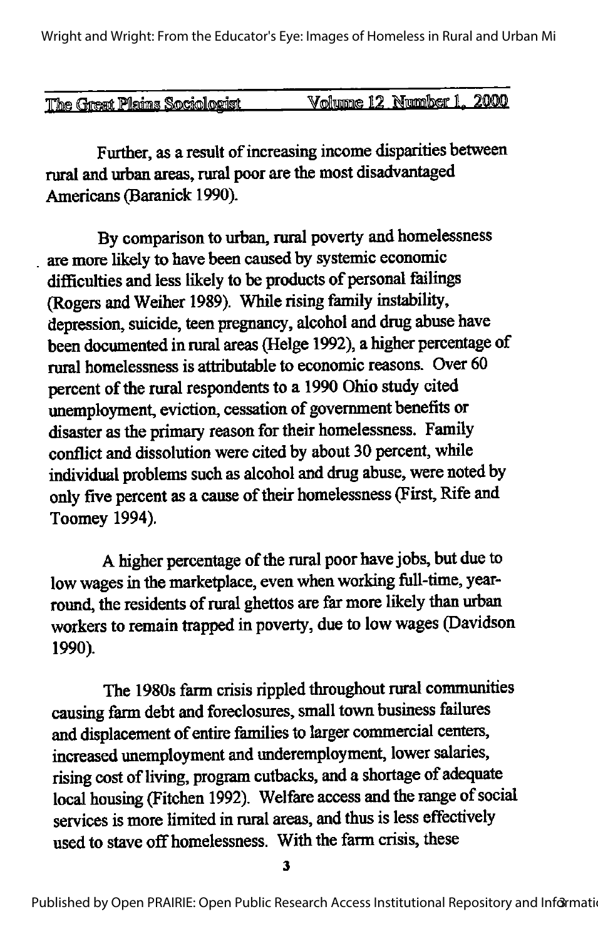Wright and Wright: From the Educator's Eye: Images of Homeless in Rural and Urban Mi

| The Great Plains Sociologist | Volume 12 Number 1, 2000 |
|------------------------------|--------------------------|
|                              |                          |

Further, as a result of increasing income disparities between rural and urban areas, rural poor are the most disadvantaged Americans (Baranick 1990).

By comparison to urban, rural poverty and homelessness are more likely to have been caused by systemic economic difficulties and less likely to be products of personal failings (Rogers and Weiher 1989). While rising family instability, depression, suicide, teen pregnancy, alcohol and drug abuse have been documented in rural areas (Helge 1992), a higher percentage of rural homelessness is attributable to economic reasons. Over 60 percent of the rural respondents to a 1990 Ohio study cited unemployment, eviction, cessation of government benefits or disaster as the primary reason for their homelessness. Family conflict and dissolution were cited by about 30 percent, while individual problems such as alcohol and drug abuse, were noted by only five percent as a cause of their homelessness (First, Rife and Toomey 1994).

A higher percentage of the rural poor have jobs, but due to low wages in the marketplace, even when working full-time, yearround, the residents of rural ghettos are far more likely than urban workers to remain trapped in poverty, due to lowwages (Davidson 1990).

The 1980s farm crisis rippled throughout rural commumties causing farm debt and foreclosures, small town business failures and displacement of entire families to larger commercial centers, increased unemployment and underemployment, lower salaries, rising cost of living, program cutbacks, and a shortage of adequate local housing (Fitchen 1992). Welfare access and the range of social services is more limited in rural areas, and thus is less effectively used to stave off homelessness. With the farm crisis, these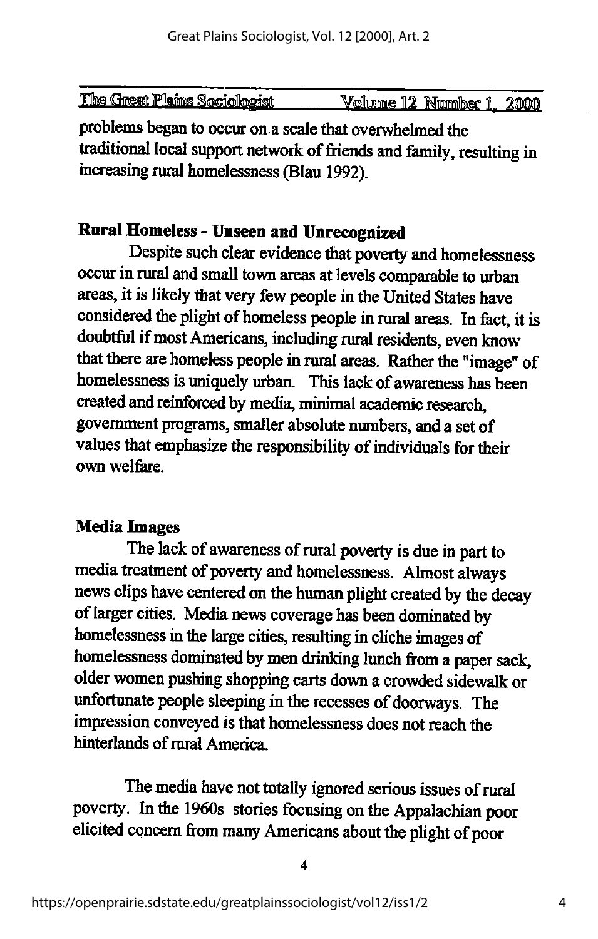| The Great Plains Sociologist | Volume 12.<br>Number 1.<br>2000 |
|------------------------------|---------------------------------|

problems began to occur on a scale that overwhelmed the traditional local support network of friends and family, resulting in increasing rural homelessness (Blau 1992).

### Rural Homeless- Unseen and Unrecognized

Despite such clear evidence that poverty and homelessness occur in rural and small town areas at levels comparable to urban areas, it is likely that very few people in the United States have considered the plight of homeless people in rural areas. In fact, it is doubtful if most Americans, including rural residents, even know that there are homeless people in rural areas. Rather the "image" of homelessness is uniquely urban. This lack of awareness has been created and reinforced by media, minimal academic research, government programs, smaller absolute numbers, and a set of values that emphasize the responsibility of individuals for their own welfare.

#### Media Images

The lack of awareness of rural poverty is due in part to media treatment of poverty and homelessness. Almost always news clips have centered on the human plight created by the decay of larger cities. Media news coverage has been dominated by homelessness in the large cities, resulting in cliche images of homelessness dominated by men drinking lunch from a paper sack, older women pushing shopping carts down a crowded sidewalk or unfortunate people sleeping in the recesses of doorways. The impression conveyed is that homelessness does not reach the hinterlands of rural America.

The media have not totally ignored serious issues of rural poverty. In the 1960s stories focusing on the Appalachian poor elicited concern from many Americans about the plight of poor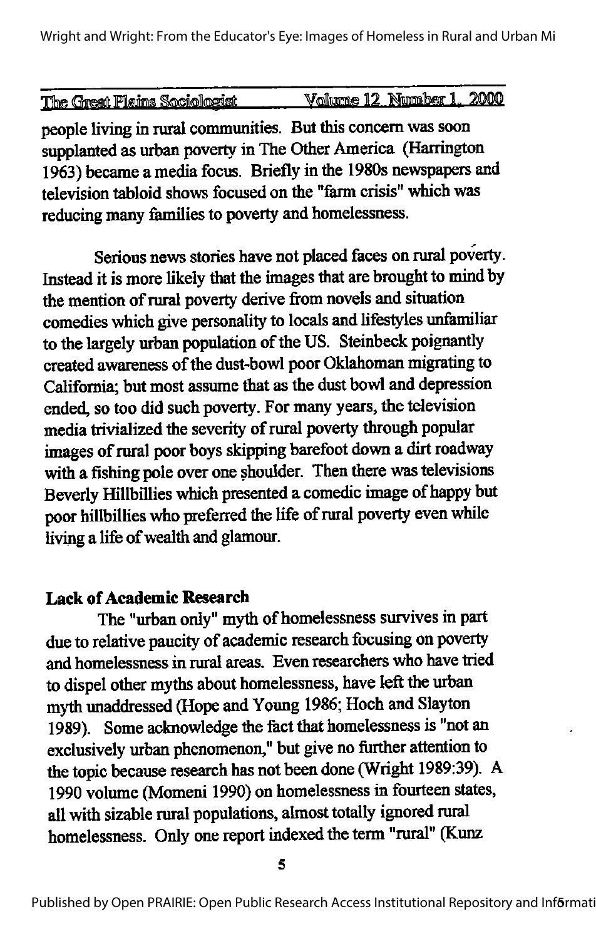Wright and Wright: From the Educator's Eye: Images of Homeless in Rural and Urban Mi

|                              |  | Volume 12 Number 1, 2000 |  |
|------------------------------|--|--------------------------|--|
| The Great Plains Sociologist |  |                          |  |
|                              |  |                          |  |
|                              |  |                          |  |

people living in rural communities. But this concern was soon supplanted as urban poverty in The Other America (Harrington 1963) became a media focus. Briefly in the 1980s newspapers and television tabloid shows focused on the "ferm crisis" which was reducing many families to poverty and homelessness.

Serious news stories have not placed faces on rural poverty. Instead it is more likely that the images that are brought to mind by the mention of rural poverty derive from novels and situation comedies which give personality to locals and lifestyles unfamiliar to the largely urban population of the US. Steinbeck poignantly created awareness of the dust-bowl poor Oklahoman migrating to California; but most assume that as the dust bowl and depression ended, so too did such poverty. For many years, the television media trivialized the severity of rural poverty through popular images of rural poor boys skipping barefoot down a dirt roadway with a fishing pole over one shoulder. Then there was televisions Beverly Hillbillies which presented a comedic image of happy but poor hillbillies who preferred the life of rural poverty even while living a life of wealth and glamour.

#### **Lack of Academic Research**

The "urban only" myth of homelessness survives in part due to relative paucity of academic research focusing on poverty and homelessness in rural areas. Even researchers who have tried to dispel other myths about homelessness, have left the urban myth imaddressed (Hope and Young 1986; Hoch and Slayton 1989). Some acknowledge the fact that homelessness is "not an exclusively urban phenomenon," but give no further attention to the topic because research has not been done (Wright 1989:39). A 1990 volume (Momeni 1990) on homelessness in fourteen states, all with sizable rural populations, almost totally ignored rural homelessness. Only one report indexed the term "rural" (Kunz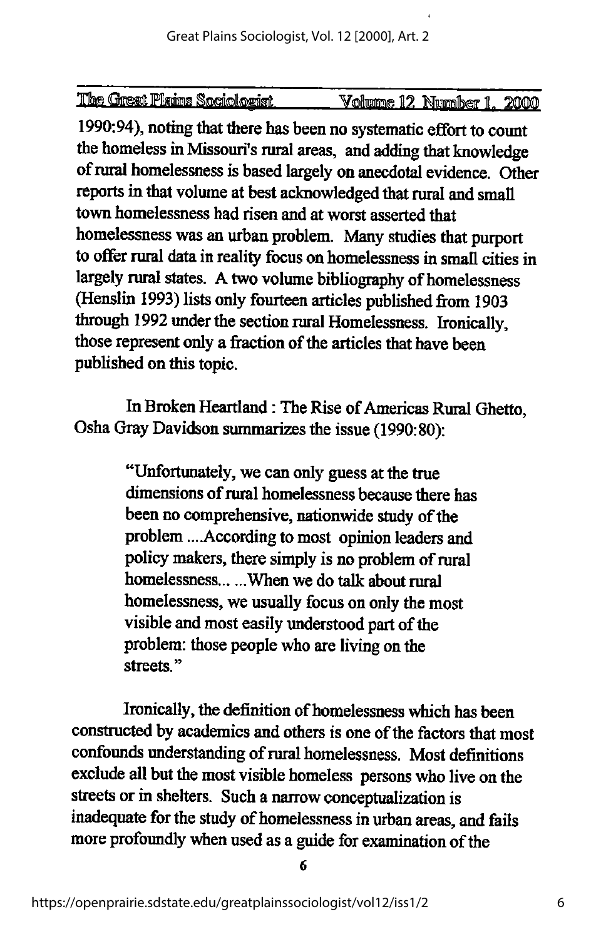| <u> The Great Plains Sociologist</u> | Volumne 12 Number 1, 2000 |  |  |
|--------------------------------------|---------------------------|--|--|

1990:94), noting that there has been no systematic effort to count the homeless in Missouri's rural areas, and adding that knowledge of rural homelessness is based largely on anecdotal evidence. Other reports in that volume at best acknowledged that rural and small town homelessness had risen and at worst asserted that homelessness was an urban problem. Many studies that purport to offer rural data in reality focus on homelessness in small cities in largely rural states. A two volume bibliography of homelessness (Henslin 1993) lists only fourteen articles published from 1903 through 1992 under the section rural Homelessness. Ironically, those represent only a fraction of the articles that have been published on this topic.

In Broken Heartland: The Rise of Americas Rural Ghetto, Osha Gray Davidson summarizes the issue (1990:80):

> "Unfortunately,we can only guess at the true dimensions of rural homelessness because there has been no comprehensive, nationwide study of the problem ....According to most opinion leaders and policy makers, there simply is no problem of rural homelessness... ...When we do talk about rural homelessness, we usually focus on only the most visible and most easily understood part of the problem: those people who are living on the streets."

Ironically, the definition of homelessness which has been constructed by academics and others is one of the factors that most confounds understanding of rural homelessness. Most definitions exclude all but the most visible homeless persons who live on the streets or in shelters. Such a narrow conceptualization is inadequate for the study of homelessness in urban areas, and fails more profoundly when usedas a guide for examination of the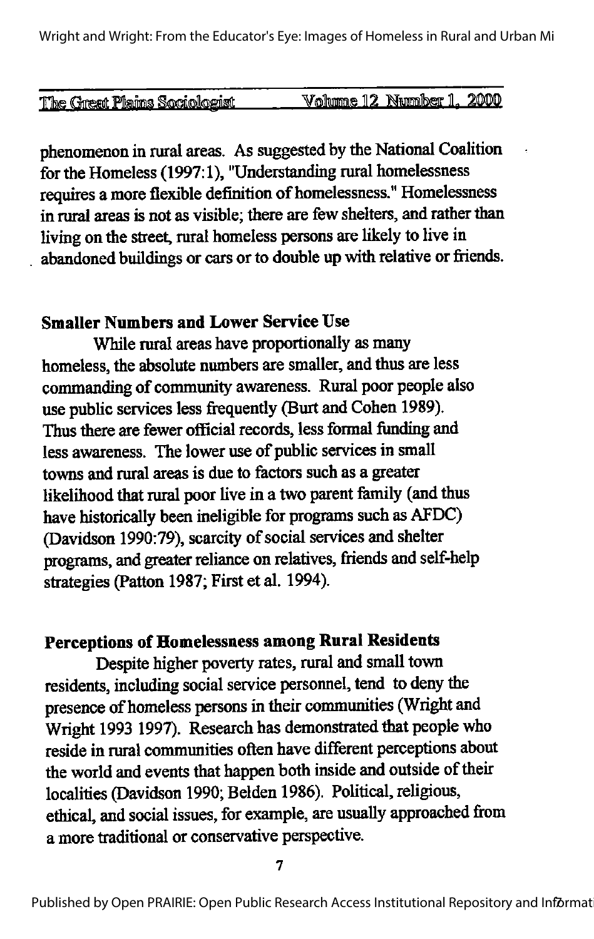| <u>The Great Plains Sociologist</u> | Volume 12 Number 1, 2000 |  |
|-------------------------------------|--------------------------|--|

phenomenon in rural areas. As suggested by the National Coalition for the Homeless (1997:1), "Understanding rural homelessness requires amore flexible definition of homelessness." Homelessness in rural areas is not as visible; there are few shelters, and rather than living on the street, rural homeless persons are likely to live in abandoned buildings or cars or to double up with relative or friends.

# Smaller Numbers and Lower Service Use

While rural areas have proportionally as many homeless, the absolute numbers are smaller, and thus are less commanding of community awareness. Rural poor people also use public services less frequently (Burt and Cohen 1989). Thus there are fewer official records, less formal funding and less awareness. The lower use of public services in small towns and rural areas is due to factors such as a greater likelihood that rural poor live in a two parent family (and thus have historically been ineligible for programs such as AFDC) (Davidson 1990:79), scarcity of social services and shelter programs, and greater reliance on relatives, friends and self-help strategies (Patton 1987; First et al. 1994).

# Perceptions of Homelessness among Rural Residents

Despite higher poverty rates, rural and small town residents, including social service personnel, tend to deny the presence of homeless persons in their communities (Wright and Wright 1993 1997). Research has demonstrated that people who reside in rural communities often have different perceptions about the world and events that happen both inside and outside of their localities (Davidson 1990; Belden 1986). Political, religious, ethical, and social issues, forexample, are usually approached from a more traditional or conservative perspective.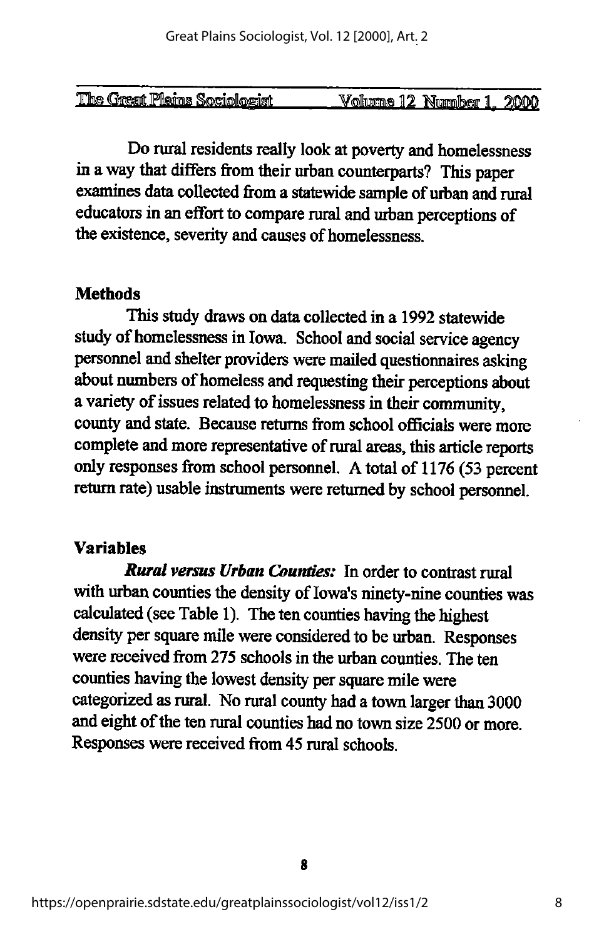| The Great Plains Sociologist | Volume 12 Number 1. | 2000 |
|------------------------------|---------------------|------|

Do rural residents really look at poverty and homelessness in a way that differs from their urban counterparts? This paper examines data collected from a statewide sample of urban and rural educators in aneffort to compare rural andurban perceptions of the existence, severity and causes of homelessness.

### **Methods**

This study draws on data collected in a 1992 statewide study of homelessness in Iowa. School and social service agency personnel and shelter providers were mailed questionnaires asking about numbers of homeless and requesting their perceptions about a variety of issues related to homelessness in their community, county and state. Because returns from school officials were more complete and more representative of rural areas, this article reports only responses from school personnel. Atotal of 1176 (53 percent return rate) usable instruments were returned by school personnel.

# Variables

Rural versus Urban Counties: In order to contrast rural with urban counties the density of Iowa's ninety-nine counties was calculated (see Table 1). The ten counties having the highest density per square mile were considered to be urban. Responses were received from 275 schools in the urban counties. The ten counties having the lowest density per square mile were categorized as rural. No rural county had a town larger than 3000 and eight of the ten rural counties had no town size 2500 or more. Responses were received from 45 rural schools.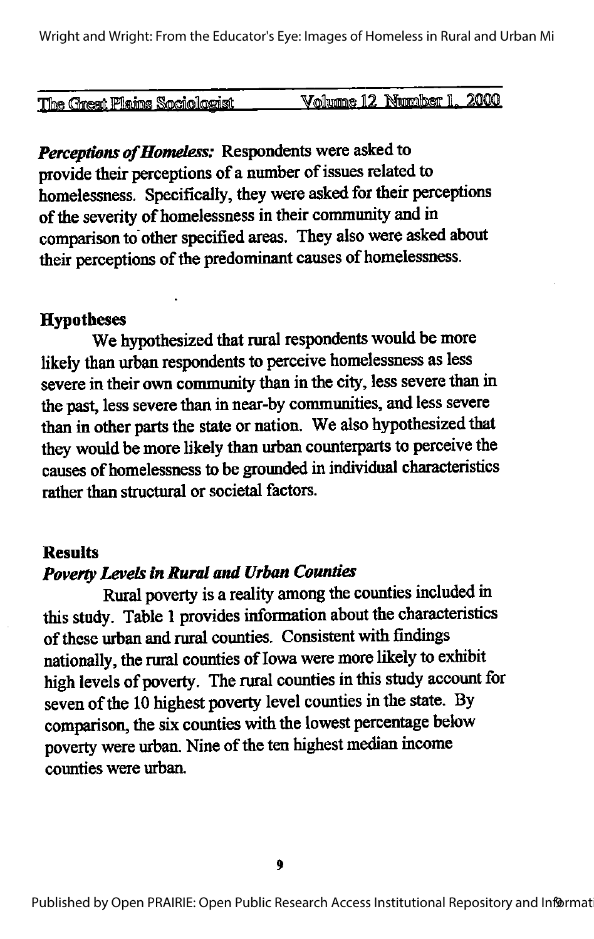| The Great Plains Sociologist | 2000<br>Number<br>1.<br>12<br><b>Volume</b> |
|------------------------------|---------------------------------------------|

Perceptions of Homeless: Respondents were asked to provide their perceptions of a number of issues related to homelessness. Specifically, they were asked for their perceptions of the severity of homelessness in their community and in comparison to other specified areas. They also were asked about their perceptions of the predominant causes of homelessness.

#### **Hypotheses**

We hypothesized that rural respondents would be more likely than urban respondents to perceive homelessness as less severe in their own community than in the city, less severe than in the past, less severe than in near-by communities, and less severe than in other parts the state or nation. We also hypothesized that they would be more likely than urban counterparts to perceive the causes of homelessness to be grounded in individual characteristics rather than structural or societal factors.

#### **Results**

# Poverty Levels in Rural and Urban Counties

Rural poverty is a reality among the counties included in this study. Table 1 provides information about the characteristics of these urban and rural counties. Consistent with findings nationally, the rural counties of Iowa were more likely to exhibit high levels of poverty. The rural counties in this study account for seven of the 10 highest poverty level counties in the state. By comparison, the six counties with the lowest percentage below poverty were urban. Nine of the ten highest median income counties were urban.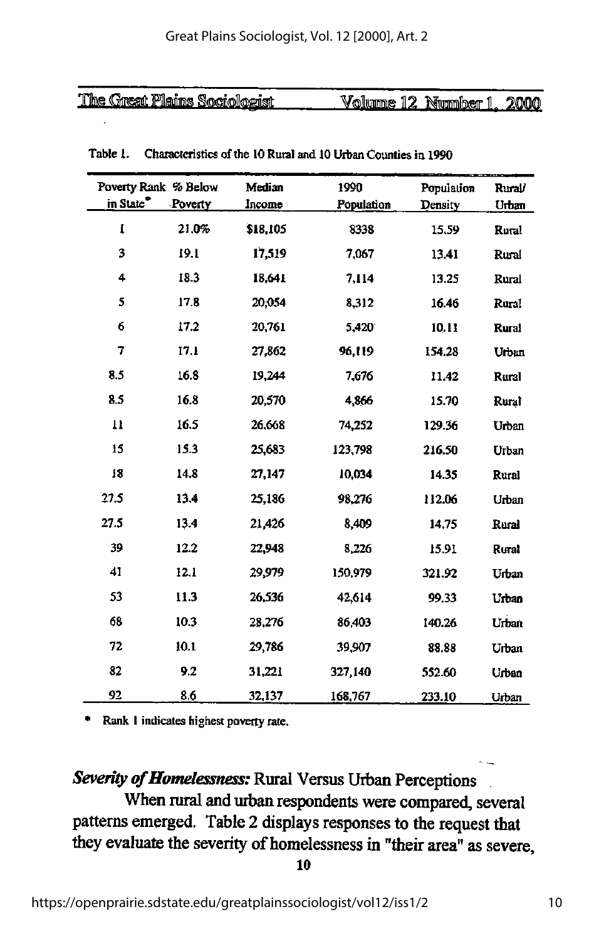| The Great Plains Sociologist | Volume<br>12 <sub>1</sub> | Niumiher | ൗര്ത്ത |
|------------------------------|---------------------------|----------|--------|

|                       | Poverty Rank % Below | Median   | 1990       | Population | Rural/       |
|-----------------------|----------------------|----------|------------|------------|--------------|
| in State <sup>*</sup> | Poverty              | Income   | Population | Density    | Urban        |
| I                     | 21.0%                | \$18,105 | 8338       | 15.59      | Rural        |
| 3                     | 19.1                 | 17,519   | 7,067      | 13.41      | Rural        |
| 4                     | 18.3                 | 18,641   | 7.114      | 13.25      | Rural        |
| 5                     | 17.8                 | 20,054   | 8,312      | 16.46      | Rural        |
| 6                     | 17.2                 | 20,761   | 5,420      | 10.11      | <b>Rural</b> |
| 7                     | 17.1                 | 27,862   | 96,119     | 154.28     | Urban        |
| 8.5                   | 16.8                 | 19,244   | 7.676      | 11.42      | Rural        |
| 8.5                   | 16.8                 | 20,570   | 4,866      | 15.70      | Rural        |
| $\mathbf{u}$          | 16.5                 | 26,668   | 74,252     | 129.36     | Urban        |
| 15                    | 15.3                 | 25,683   | 123,798    | 216.50     | Urban        |
| 18                    | 14.8                 | 27,147   | 10,034     | 14.35      | Rural        |
| 27.5                  | 13.4                 | 25,186   | 98,276     | 112.06     | Urban        |
| 27.5                  | 13.4                 | 21,426   | 8,409      | 14.75      | Rural        |
| 39                    | 12.2                 | 22,948   | 8.226      | 15.91      | Rural        |
| 41                    | 12.1                 | 29,979   | 150,979    | 321.92     | Urban        |
| 53                    | 11.3                 | 26,536   | 42,614     | 99.33      | Urban        |
| 68                    | 10.3                 | 28,276   | 86,403     | 140.26     | Urban        |
| 72                    | 10.1                 | 29,786   | 39,907     | 88.88      | Urban        |
| 82                    | 9.2                  | 31,221   | 327,140    | 552.60     | Urban        |
| 92                    | 8.6                  | 32,137   | 168,767    | 233.10     | Urban        |

Table 1. Characteristics of the 10 Rural and 10 Urban Counties in 1990

Rank 1 indicates highest poverty rate.

Severity of Homelessness: Rural Versus Urban Perceptions When rural and urban respondents were compared, several patterns emerged. Table 2 displays responses to the request that they evaluate the severity of homelessness in "their area" as severe,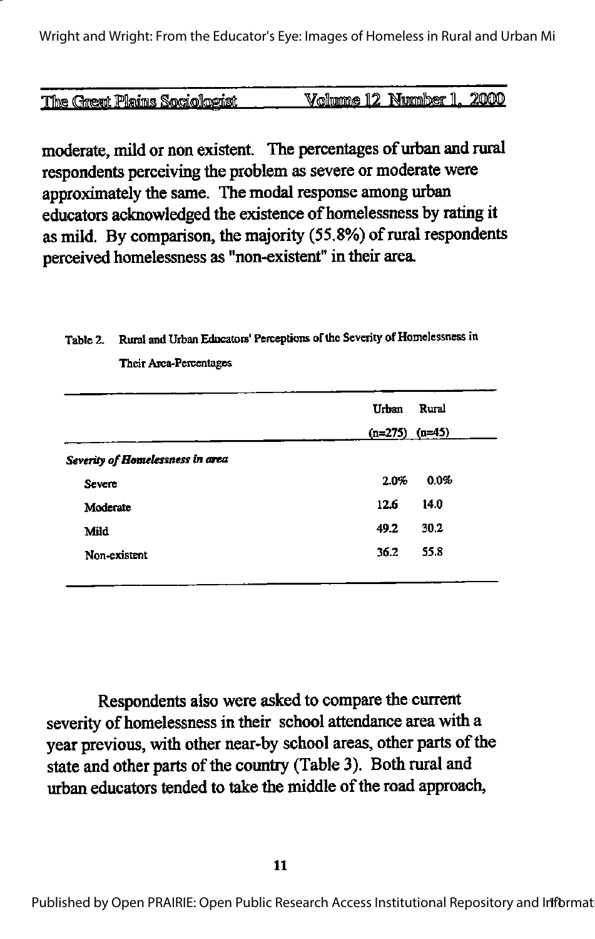| The Great Plains Sociologist | Volumne 12 Nummber 1, 2000 |  |
|------------------------------|----------------------------|--|

moderate, mild or non existent. The percentages of urban and rural respondents perceiving the problem as severe or moderate were approximately the same. The modal response among urban educators acknowledged the existence of homelessness by rating it as mild. By comparison, the majority (55.8%) of rural respondents perceived homelessness as "non-existent" in their area.

# Table 2. Rural and Urban Educators' Perceptions of the Severity of Homelessness in Their Area-Percentages

|                                  | Urban              | Rural |
|----------------------------------|--------------------|-------|
|                                  | $(n=275)$ $(n=45)$ |       |
| Severity of Homelessness in area |                    |       |
| Severe                           | 2.0%               | 0.0%  |
| Moderate                         | 12.6               | 14.0  |
| Mild                             | 49.2               | 30.2  |
| Non-existent                     | 36.2               | 55.8  |
|                                  |                    |       |

Respondents also were asked to compare the current severity of homelessness in their school attendance area with a year previous, with other near-by school areas, other parts of the state and other parts of the country (Table 3). Both rural and urban educators tended to take the middle of the road approach,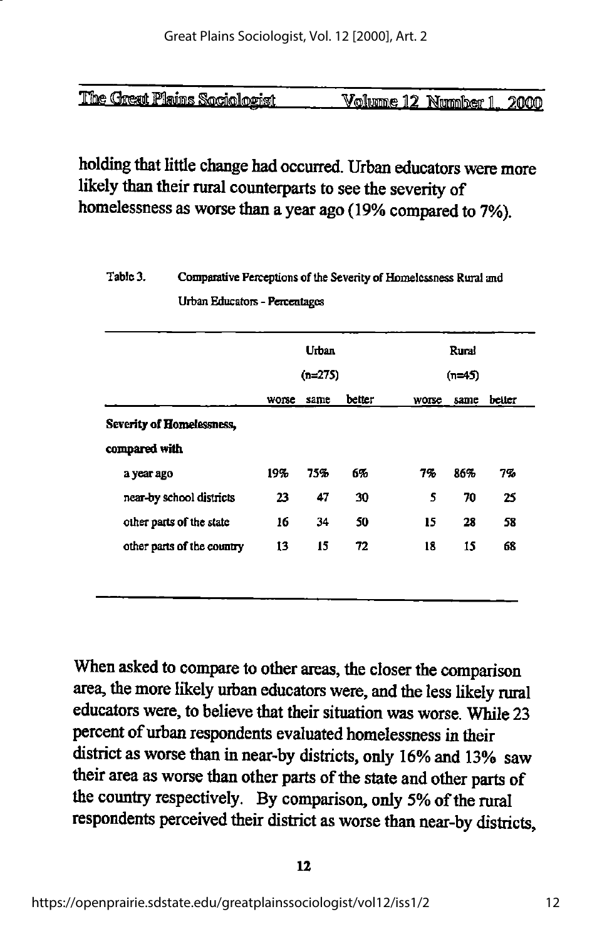| The Great Plains Sociologist | Volume 12 Number 1, 2000 |  |  |  |
|------------------------------|--------------------------|--|--|--|
|                              |                          |  |  |  |

# holding that little change had occurred. Urban educators were more likely than their rural counterparts to see the severity of homelessness as worse than a year ago (19% compared to 7%).

# Table 3. Comparative Perceptions of the Severity of Homelessness Rural and UrbanEducators- Percentages

|                            |       | Urban     |        |          | Rural |        |
|----------------------------|-------|-----------|--------|----------|-------|--------|
|                            |       | $(n=275)$ |        | $(n=45)$ |       |        |
|                            | worse | same      | better | worse    | same  | better |
| Severity of Homelessness,  |       |           |        |          |       |        |
| compared with              |       |           |        |          |       |        |
| a year ago                 | 19%   | 75%       | 6%     | 7%       | 86%   | 7%     |
| near-by school districts   | 23    | 47        | 30     | 5        | 70    | 25     |
| other parts of the state   | 16    | 34        | 50     | 15       | 28    | 58     |
| other parts of the country | 13    | 15        | 72     | 18       | 15    | 68     |

When asked to compare to other areas, the closer the comparison area, the more likely urban educators were, and die less likely rural educators were, to believe that their situation was worse. While 23 percent of urban respondents evaluated homelessness in their district as worse than in near-by districts, only 16% and 13% saw their area as worse than other parts of the state and other parts of the country respectively. By comparison, only 5% of the rural respondents perceived their district asworse than near-by districts.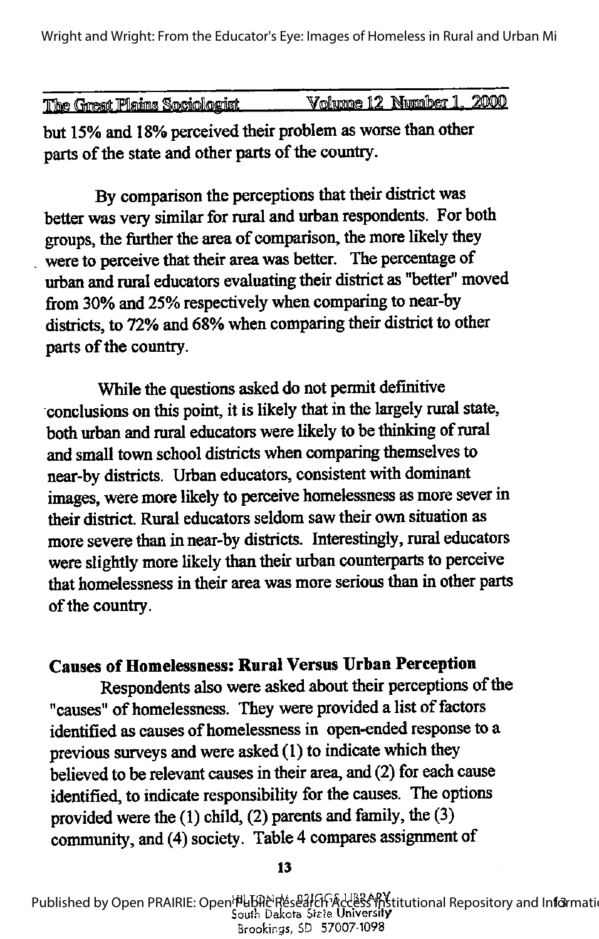Wright and Wright: From the Educator's Eye: Images of Homeless in Rural and Urban Mi

| Volume 12 Number 1, 2 | 2000 |
|-----------------------|------|
|                       |      |
|                       |      |

but 15% and 18% perceived their problem as worse than other parts of the state and other parts of the country.

By comparison the perceptions that their district was better was very similar for rural and urban respondents. For both groups, the further the area of comparison, the more likely they were to perceive that their area was better. The percentage of urban and rural educators evaluating their district as "better" moved from 30% and 25% respectively when comparing to near-by districts, to 72% and 68% when comparing their district to other parts of the country.

While the questions asked do not permit definitive conclusions on this point, it is likely that in the largely rural state, both urban and rural educators were likely to be thinking of rural and small town school districts when comparing themselves to near-by districts. Urban educators, consistent with dominant images, were more likely to perceive homelessness as more sever in their district. Rural educators seldom saw their own situation as more severe than in near-by districts. Interestingly, rural educators were slightly more likely than their urban counterparts to perceive that homelessness in their area was more serious than in other parts of the country.

# Causes of Homelessness: Rural Versus Urban Perception

Respondents also were asked about their perceptions of the "causes" of homelessness. They were provided a list of factors identified as causes of homelessness in open-ended response to a previous surveys and were asked (1) to indicate which they believed to be relevant causes in their area, and (2) for each cause identified, to indicate responsibility for the causes. The options provided were the  $(1)$  child,  $(2)$  parents and family, the  $(3)$ community, and (4) society. Table 4 compares assignment of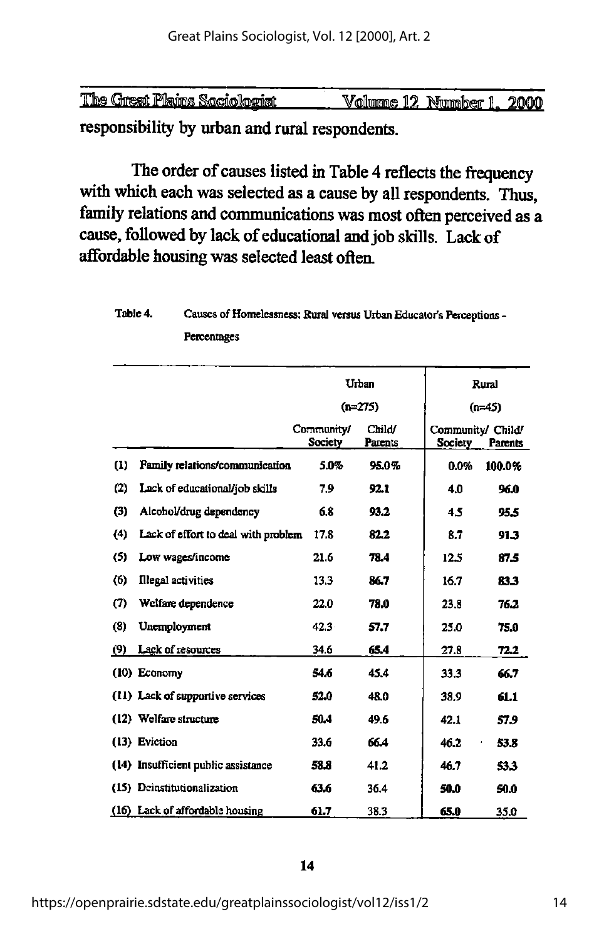| <b>The Great Plains Sociologist</b> |                          |  |  |
|-------------------------------------|--------------------------|--|--|
|                                     | Volume 12 Number 1, 2000 |  |  |
|                                     |                          |  |  |

responsibility by urban and rural respondents.

The order of causes listed in Table 4 reflects the frequency with which each was selected as a cause by all respondents. Thus, family relations and communications was most often perceived as a cause, followed by lack of educational and job skills. Lack of affordable housing was selected least often.

#### Table 4. Causes of Homelessness: Rural versus Urban Educator's Perceptions -Percentages

|     |                                     | Urban                 |                   |                              | Rural    |
|-----|-------------------------------------|-----------------------|-------------------|------------------------------|----------|
|     |                                     |                       | $(n=275)$         |                              | $(n=45)$ |
|     |                                     | Community/<br>Society | Child'<br>Parents | Community/ Child/<br>Society | Parents  |
| (1) | Family relations/communication      | 5.0%                  | 95.0%             | 0.0%                         | 100.0%   |
| (2) | Lack of educational/job skills      | 7.9                   | 92.1              | 4.0                          | 96.0     |
| (3) | Alcohol/drug dependency             | 68                    | 93.2              | 45                           | 95.5     |
| (4) | Lack of effort to deal with problem | 17.8                  | 82.2              | 8.7                          | 91.3     |
| (5) | Low wages/income                    | 21.6                  | 78.4              | 12.5                         | 87.5     |
| (6) | <b>Illegal activities</b>           | 13.3                  | 86.7              | 16.7                         | 83.3     |
| (7) | Welfare dependence                  | 22.0                  | 78.0              | 23.8                         | 76.2     |
| (8) | Unemployment                        | 42.3                  | 57.7              | 25.0                         | 75.0     |
| (9) | Lack of resources                   | 34.6                  | 65.4              | 27.8                         | 72.2     |
|     | (10) Economy                        | 54.6                  | 45.4              | 33.3                         | 66.7     |
|     | (11) Lack of supportive services    | 52.0                  | 48.0              | 38.9                         | 61.1     |
|     | (12) Welfare structure              | 50.4                  | 49.6              | 42.1                         | 57.9     |
|     | (13) Eviction                       | 33.6                  | 66.4              | 46.2                         | 53.8     |
|     | (14) Insufficient public assistance | 58.8                  | 41.2              | 46.7                         | 53.3     |
|     | (15) Deinstitutionalization         | 63.6                  | 36.4              | 50.0                         | 50.0     |
|     | (16) Lack of affordable housing     | 61.7                  | 38.3              | 65.0                         | 35.0     |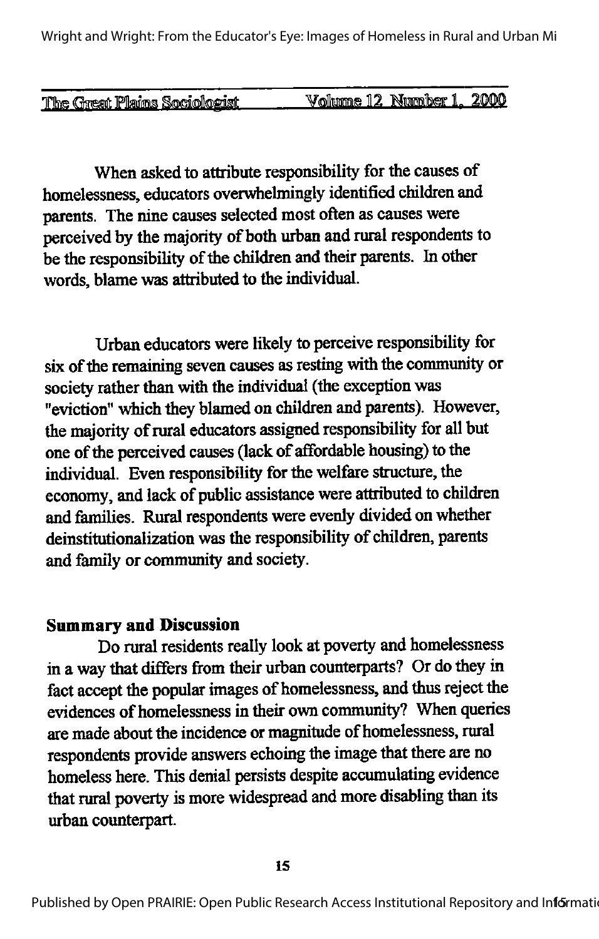Wright and Wright: From the Educator's Eye: Images of Homeless in Rural and Urban Mi

| <u>The Great Plains Sociologist</u> | Volume 12 Number 1, 2000 |  |
|-------------------------------------|--------------------------|--|
|                                     |                          |  |

When asked to attribute responsibility for the causes of homelessness, educators overwhelmingly identified children and parents. The nine causes selected mostoftenas causes were perceived by the majority of both urban and rural respondents to be the responsibility of the children and their parents. In other words, blame was attributed to the individual.

Urban educators were likely to perceive responsibility for six of the remaining seven causes as resting with the community or society rather than with the individual (the exception was "eviction" which they blamed on children and parents). However, the majority of rural educators assigned responsibility for all but one of the perceived causes (lack of affordable housing) to the individual. Even responsibility for the welfare structure, the economy, and lack of public assistance were attributed to children and families. Rural respondents were evenly divided on whether deinstitutionalization was the responsibility of children, parents and family or community and society.

#### Summary and Discussion

Do rural residents really look at poverty and homelessness in a way that differs from their urban counterparts? Or do they in fact accept the popular images of homelessness, and thus reject the evidences of homelessness in their own community? When queries are made about the incidence or magnitude of homelessness, rural respondents provide answers echoing the image that there are no homeless here. This denial persists despite accumulating evidence that rural poverty is more widespread and more disabling than its urban counterpart.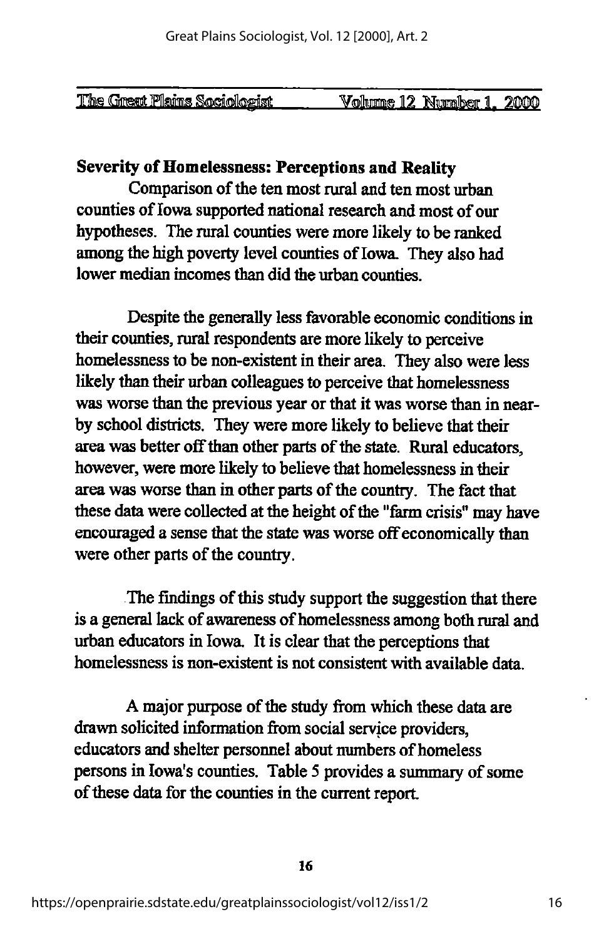| The Great Plains Sociologist | Volume 12 Number 1, 2000 |  |
|------------------------------|--------------------------|--|

### Severity of Homelessness: Perceptions and Reality

Comparison of the ten most rural and ten most urban counties of Iowa supported national research and most of our hypotheses. The rural counties were more likely to be ranked among the high poverty level counties of Iowa. They also had lower median incomes than did the urban counties.

Despite the generally less favorable economic conditions in their counties, rural respondents are more likely to perceive homelessness to be non-existent in their area. They also were less likely than their urban colleagues to perceive that homelessness was worse than the previous year or that it was worse than in near by school districts. They were more likely to believe that their area was better off than other parts of the state. Rural educators, however, were more likely to believe that homelessness in their area was worse than in other parts of the country. The fact that these data were collected at the height of the "farm crisis" may have encouraged a sense that the state was worse off economically than were other parts of the country.

The findings of this study support the suggestion that there is a general lack of awareness of homelessness among both rural and urban educators in Iowa. It is clear that the perceptions that homelessness is non-existent is not consistent with available data.

A major purpose of the study from which these data are drawn solicited information from social service providers, educators and shelter personnel about numbers of homeless persons in Iowa's counties. Table 5 provides a summary of some of these data for the counties in the current report.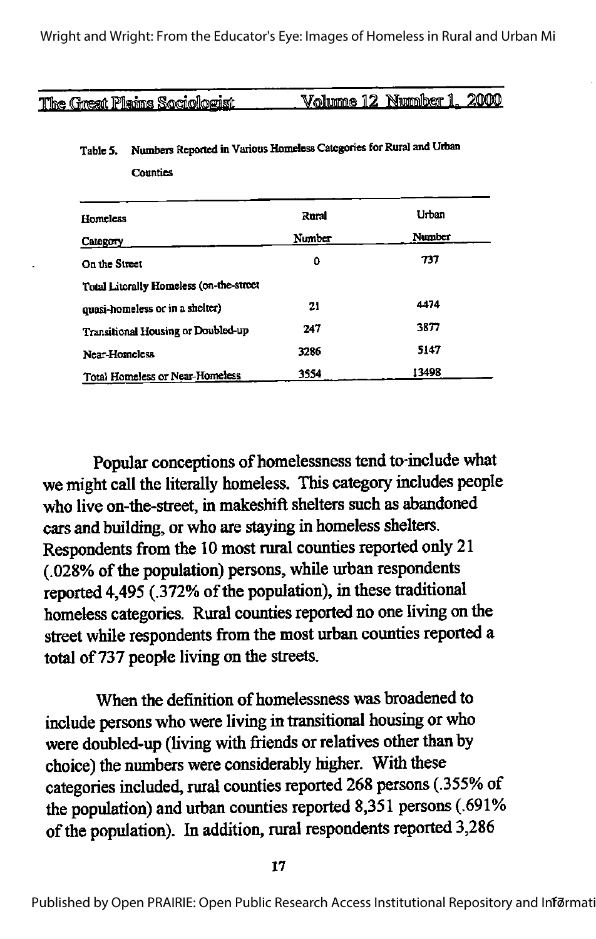The Great Plains Sociologist Volume 12 Number 1, 2000

**Counties** 

| Homeless                                | Rural  | <b>Urban</b> |
|-----------------------------------------|--------|--------------|
| Category                                | Number | Number       |
| On the Street                           | 0      | 737          |
| Total Literally Homeless (on-the-street |        |              |
| quasi-homeless or in a shelter)         | 21     | 4474         |
| Transitional Housing or Doubled-up      | 247    | 3877         |
| Near-Homeless                           | 3236   | 5147         |
| Total Homeless or Near-Homeless         | 3554   | 13498        |

### Table 5. Numbers Reported in Various Homeless Categories for Rural and Urban

Popular conceptions of homelessness tend to-include what we might call the literally homeless. This category includes people who live on-the-street, in makeshift shelters such as abandoned cars and building, or who are staying in homeless shelters. Respondents from the10 most rural counties reported only 21 (.028% of the population) persons, while urban respondents reported 4,495 (.372% of the population), in these traditional homeless categories. Rural counties reported no one living on the street while respondents from the most urban counties reported a total of 737 people living on the streets.

When the definition of homelessness was broadened to include persons who were living in transitional housing or who were doubled-up (living with friends or relatives other than by choice) the numbers were considerably higher. With these categories included, rural counties reported 268 persons (.355% of the population) and urban counties reported 8,351 persons (.691% of the population). In addition, rural respondents reported 3,286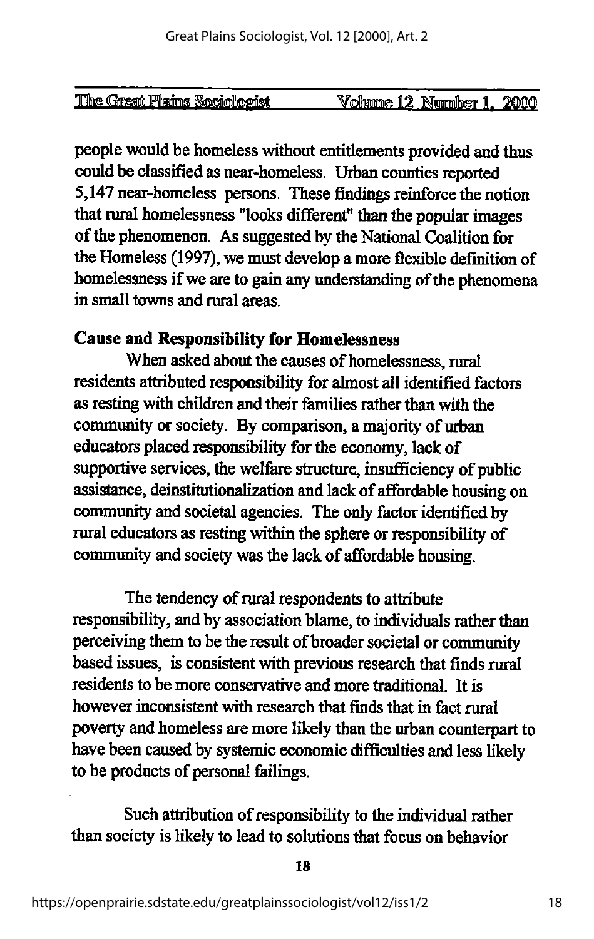| Number 1. |                              |                |      |
|-----------|------------------------------|----------------|------|
|           | The Great Plains Sociologist | Volume.<br>12. | 2000 |

people would be homeless without entitlements provided and thus could be classified as near-homeless. Urban counties reported 5,147near-homeless persons. These findings reinforce the notion that rural homelessness "looks different" than the popular images of the phenomenon. As suggested by the National Coalition for the Homeless (1997), we must developa more flexible definition of homelessness if we are to gain any understanding of the phenomena in small towns and rural areas.

# Cause and Responsibility for Homelessness

When asked about the causes of homelessness, rural residents attributed responsibility for almost all identified factors as resting with children and their families rather than with the community or society. By comparison, a majority of urban educators placed responsibility for the economy, lack of supportive services, the welfare structure, insufficiency of public assistance, deinstitutionalization and lack of affordable housing on community and societal agencies. The only factor identified by rural educators as resting within the sphere or responsibility of community and society was the lack of affordable housing.

The tendency of rural respondents to attribute responsibility, and by association blame, to individuals rather than perceiving them to be the result of broader societal or community based issues, is consistent with previous research that finds rural residents to be more conservative and more traditional. It is however inconsistent with research that finds that in fact rural poverty and homeless are more likely than the urban counterpart to have been caused by systemic economic difficulties and less likely to be products of personal failings.

Such attribution of responsibility to the individual rather than society is likely to lead to solutions that focus on behavior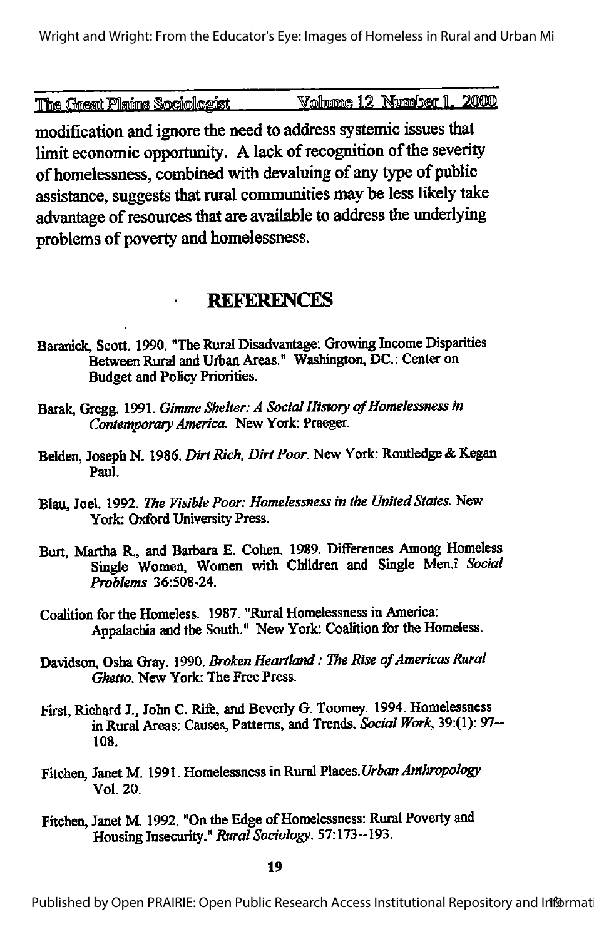The Great Plaims Sociologist \_\_\_\_\_\_ Volume 12 Number 1, 2000

modification and ignore the need to address systemic issues that limit economic opportunity. A lack of recognition of the severity of homelessness, combined with devaluing of anytype of public assistance, suggests that rural communities may be less likely take advantage of resources that are available to address the underlying problems of poverty and homelessness.

# **REFERENCES**

- Baranick, Scott. 1990. "The Rural Disadvantage: Growing Income Disparities Between Rural and Urban Areas." Washington, DC.: Center on Budget and Policy Priorities.
- Barak, Gregg. 1991. Gimme Shelter: A Social History of Homelessness in Contemporary America. New York: Praeger.
- Belden, Joseph N. 1986. Dirt Rich, Dirt Poor. New York: Routledge & Kegan Paul.
- Blau, Joel. 1992. The Visible Poor: Homelessness in the United States. New York: Oxford University Press.
- Burt, Martha R., and Barbara E. Cohen. 1989. Diflferences Among Homeless Single Women, Women with Children and Single Men.i Social Problems 36:508-24.
- Coalition for the Homeless. 1987. "Rural Homelessness in America: Appalachia and the South." New York: Coalition for the Homeless.
- Davidson, Osha Gray. 1990. Broken Heartland: The Rise of Americas Rural Ghetto. New York: The Free Press.
- First, Richard J., John C. Rife, and Beverly G. Toomey. 1994. Homelessness in Rural Areas: Causes, Patterns, and Trends. Social Work. 39:(1): 97— 108.
- Fitchen, Janet M. 1991. Homelessness in Rural Places. Urban Anthropology Vol. 20.
- Fitchen, Janet M. 1992. "On the Edge of Homelessness: Rural Poverty and Housing Insecurity." Rural Sociology. 57:173--193.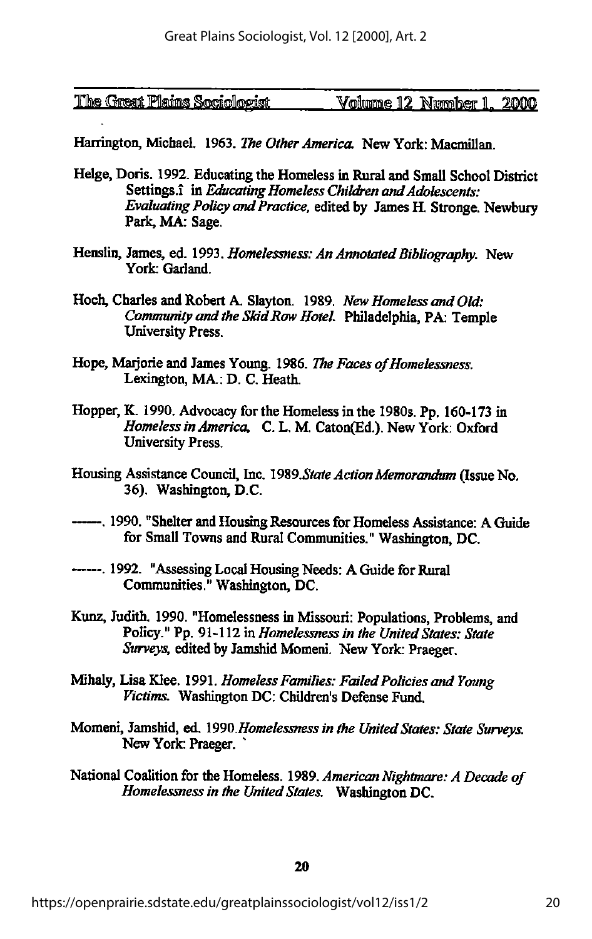| The Great Plains Sociologist | Volume 12 Number 1, 2000 |  |
|------------------------------|--------------------------|--|
|                              |                          |  |

Harrington, Michael. 1963. The Other America. New York: Macmillan.

- Helge, Doris. 1992. Educating the Homeless in Rural and Small School District Settings.<sup>1</sup> in Educating Homeless Children and Adolescents: Evaluating Policy and Practice, edited by James H. Stronge. Newbury Park, MA: Sage.
- Henslin, James, ed. 1993. Homelessness: An Annotated Bibliography. New York: Gariand.
- Hoch, Charles and Robert A. Slayton. 1989. New Homeless and Old: Community and the Skid Row Hotel. Philadelphia, PA: Temple University Press.
- Hope, Marjorie and James Young. 1986. The Faces of Homelessness. Lexington, MA.: D. C. Heath.
- Hopper,K. 1990. Advocacy for the Homeless in the 1980s. Pp. 160-173 in Homeless in America, C. L. M. Caton(Ed.). New York: Oxford University Press.
- Housing Assistance Council, Inc. 1989. State Action Memorandum (Issue No. 36). Washington, D.C.
- ------. 1990. "Shelter and Housing Resources for Homeless Assistance: A Guide for Small Townsand Rural Communities." Washington, DC.
- ------. 1992. "Assessing Local Housing Needs: A Guide for Rural Communities." Washington, DC.
- Kunz, Judith. 1990. "Homelessness in Missouri: Populations, Problems, and Policy." Pp. 91-112 in Homelessness in the United States: State Surveys, edited by Jamshid Momeni. New York: Praeger.
- Mihaly, Lisa Klee. 1991. Homeless Families: Failed Policies and Young Victims. Washington DC: Children's Defense Fund.
- Momeni, Jamshid, ed. 1990. Homelessness in the United States: State Surveys. New York: Praeger.
- National Coalition for the Homeless. 1989. American Nightmare: A Decade of Homelessness in the United States. Washington DC.